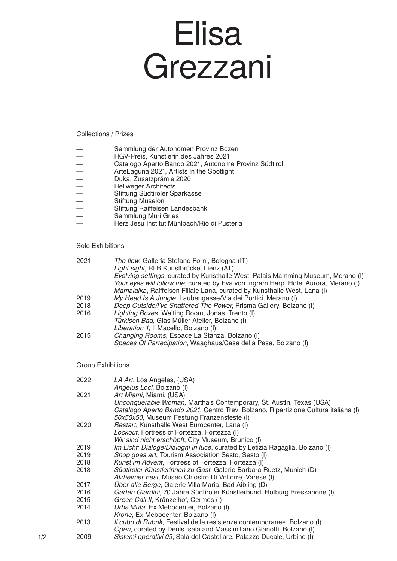## Elisa Grezzani

## Collections / Prizes

- Sammlung der Autonomen Provinz Bozen<br>
HGV-Preis, Künstlerin des Jahres 2021<br>
Catalogo Aperto Bando 2021, Autonome P<br>
ArteLaguna 2021, Artists in the Spotlight<br>
Duka, Zusatzprämie 2020<br>
Hellweger Architects<br>
S
- HGV-Preis, Künstlerin des Jahres 2021
- Catalogo Aperto Bando 2021, Autonome Provinz Südtirol
- ArteLaguna 2021, Artists in the Spotlight
- Duka, Zusatzprämie 2020
- Hellweger Architects
- Stiftung Südtiroler Sparkasse
- Stiftung Museion
- Stiftung Raiffeisen Landesbank
- Sammlung Muri Gries
- Herz Jesu Institut Mühlbach/Rio di Pusteria

## Solo Exhibitions

| 2021 | <i>The flow</i> , Galleria Stefano Forni, Bologna (IT)                             |
|------|------------------------------------------------------------------------------------|
|      | Light sight, RLB Kunstbrücke, Lienz (AT)                                           |
|      | Evolving settings, curated by Kunsthalle West, Palais Mamming Museum, Merano (I)   |
|      | Your eyes will follow me, curated by Eva von Ingram Harpf Hotel Aurora, Merano (I) |
|      | Mamalaika, Raiffeisen Filiale Lana, curated by Kunsthalle West, Lana (I)           |
| 2019 | My Head Is A Jungle, Laubengasse/Via dei Portici, Merano (I)                       |
| 2018 | Deep Outside/I've Shattered The Power, Prisma Gallery, Bolzano (I)                 |
| 2016 | Lighting Boxes, Waiting Room, Jonas, Trento (I)                                    |
|      | Türkisch Bad, Glas Müller Atelier, Bolzano (I)                                     |
|      | Liberation 1, Il Macello, Bolzano (I)                                              |
| 2015 | Changing Rooms, Espace La Stanza, Bolzano (I)                                      |
|      | Spaces Of Partecipation, Waaghaus/Casa della Pesa, Bolzano (I)                     |

## Group Exhibitions

| 2022 | LA Art, Los Angeles, (USA)<br>Angelus Loci, Bolzano (I)                                                                                                                               |
|------|---------------------------------------------------------------------------------------------------------------------------------------------------------------------------------------|
| 2021 | Art Miami, Miami, (USA)<br>Unconquerable Woman, Martha's Contemporary, St. Austin, Texas (USA)<br>Catalogo Aperto Bando 2021, Centro Trevi Bolzano, Ripartizione Cultura italiana (I) |
|      | 50x50x50, Museum Festung Franzensfeste (I)                                                                                                                                            |
| 2020 | Restart, Kunsthalle West Eurocenter, Lana (I)<br>Lockout, Fortress of Fortezza, Fortezza (I)                                                                                          |
|      | Wir sind nicht erschöpft, City Museum, Brunico (I)                                                                                                                                    |
| 2019 | Im Licht: Dialoge/Dialoghi in luce, curated by Letizia Ragaglia, Bolzano (I)                                                                                                          |
| 2019 | Shop goes art, Tourism Association Sesto, Sesto (I)                                                                                                                                   |
| 2018 | Kunst im Advent, Fortress of Fortezza, Fortezza (I)                                                                                                                                   |
| 2018 | Südtiroler Künstlerinnen zu Gast, Galerie Barbara Ruetz, Munich (D)                                                                                                                   |
|      | Alzheimer Fest, Museo Chiostro Di Voltorre, Varese (I)                                                                                                                                |
| 2017 | Über alle Berge, Galerie Villa Maria, Bad Aibling (D)                                                                                                                                 |
| 2016 | Garten Giardini, 70 Jahre Südtiroler Künstlerbund, Hofburg Bressanone (I)                                                                                                             |
| 2015 | Green Call II, Kränzelhof, Cermes (I)                                                                                                                                                 |
| 2014 | Urbs Muta, Ex Mebocenter, Bolzano (I)                                                                                                                                                 |
|      | Krone, Ex Mebocenter, Bolzano (I)                                                                                                                                                     |
| 2013 | Il cubo di Rubrik, Festival delle resistenze contemporanee, Bolzano (I)                                                                                                               |
|      | Open, curated by Denis Isaia and Massimiliano Gianotti, Bolzano (I)                                                                                                                   |
| 2009 | Sistemi operativi 09, Sala del Castellare, Palazzo Ducale, Urbino (I)                                                                                                                 |